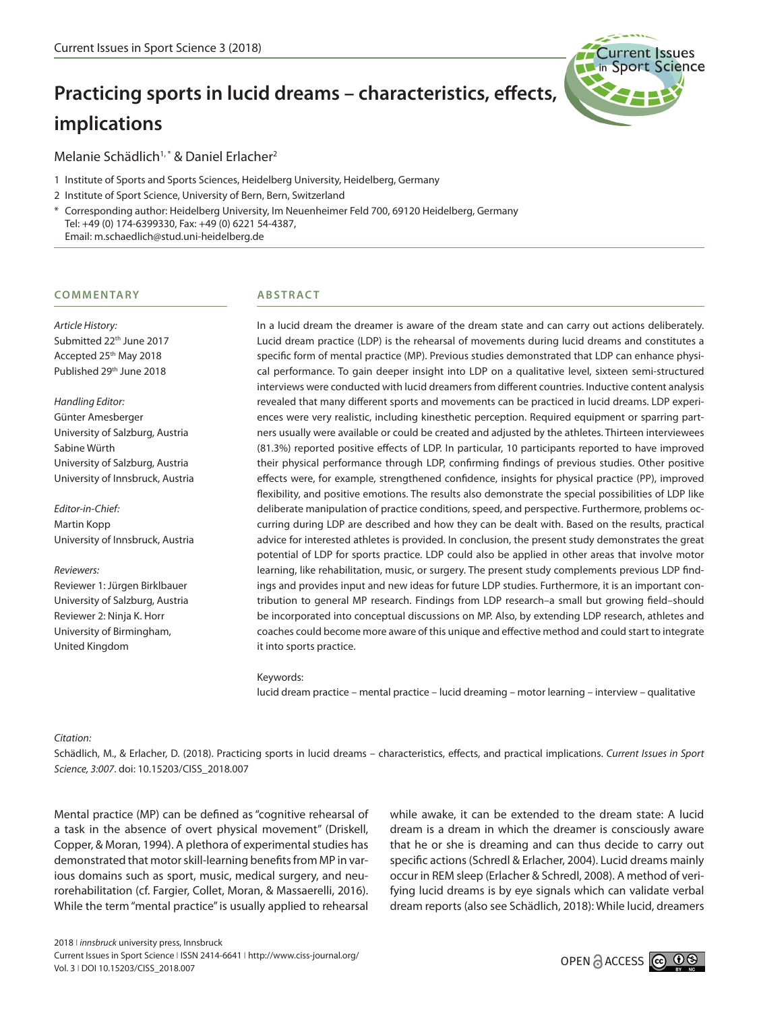# **Practicing sports in lucid dreams – characteristics, effects, implications**



- 1 Institute of Sports and Sports Sciences, Heidelberg University, Heidelberg, Germany
- 2 Institute of Sport Science, University of Bern, Bern, Switzerland
- \* Corresponding author: Heidelberg University, Im Neuenheimer Feld 700, 69120 Heidelberg, Germany Tel: +49 (0) 174-6399330, Fax: +49 (0) 6221 54-4387, Email: m.schaedlich@stud.uni-heidelberg.de

#### **CO M M E N TA RY**

*Article History:* Submitted 22<sup>th</sup> June 2017 Accepted 25<sup>th</sup> May 2018 Published 29th June 2018

*Handling Editor:* Günter Amesberger University of Salzburg, Austria Sabine Würth University of Salzburg, Austria University of Innsbruck, Austria

*Editor-in-Chief:* Martin Kopp University of Innsbruck, Austria

*Reviewers:* Reviewer 1: Jürgen Birklbauer University of Salzburg, Austria Reviewer 2: Ninja K. Horr University of Birmingham, United Kingdom

## **ABSTRACT**

In a lucid dream the dreamer is aware of the dream state and can carry out actions deliberately. Lucid dream practice (LDP) is the rehearsal of movements during lucid dreams and constitutes a specific form of mental practice (MP). Previous studies demonstrated that LDP can enhance physical performance. To gain deeper insight into LDP on a qualitative level, sixteen semi-structured interviews were conducted with lucid dreamers from different countries. Inductive content analysis revealed that many different sports and movements can be practiced in lucid dreams. LDP experiences were very realistic, including kinesthetic perception. Required equipment or sparring partners usually were available or could be created and adjusted by the athletes. Thirteen interviewees (81.3%) reported positive effects of LDP. In particular, 10 participants reported to have improved their physical performance through LDP, confirming findings of previous studies. Other positive effects were, for example, strengthened confidence, insights for physical practice (PP), improved flexibility, and positive emotions. The results also demonstrate the special possibilities of LDP like deliberate manipulation of practice conditions, speed, and perspective. Furthermore, problems occurring during LDP are described and how they can be dealt with. Based on the results, practical advice for interested athletes is provided. In conclusion, the present study demonstrates the great potential of LDP for sports practice. LDP could also be applied in other areas that involve motor learning, like rehabilitation, music, or surgery. The present study complements previous LDP findings and provides input and new ideas for future LDP studies. Furthermore, it is an important contribution to general MP research. Findings from LDP research–a small but growing field–should be incorporated into conceptual discussions on MP. Also, by extending LDP research, athletes and coaches could become more aware of this unique and effective method and could start to integrate it into sports practice.

#### Keywords:

lucid dream practice – mental practice – lucid dreaming – motor learning – interview – qualitative

*Citation:*

Schädlich, M., & Erlacher, D. (2018). Practicing sports in lucid dreams – characteristics, effects, and practical implications. *Current Issues in Sport Science, 3:007*. doi: 10.15203/CISS\_2018.007

Mental practice (MP) can be defined as "cognitive rehearsal of a task in the absence of overt physical movement" (Driskell, Copper, & Moran, 1994). A plethora of experimental studies has demonstrated that motor skill-learning benefits from MP in various domains such as sport, music, medical surgery, and neurorehabilitation (cf. Fargier, Collet, Moran, & Massaerelli, 2016). While the term "mental practice" is usually applied to rehearsal

while awake, it can be extended to the dream state: A lucid dream is a dream in which the dreamer is consciously aware that he or she is dreaming and can thus decide to carry out specific actions (Schredl & Erlacher, 2004). Lucid dreams mainly occur in REM sleep (Erlacher & Schredl, 2008). A method of verifying lucid dreams is by eye signals which can validate verbal dream reports (also see Schädlich, 2018): While lucid, dreamers

urrent Issues **Sport Science**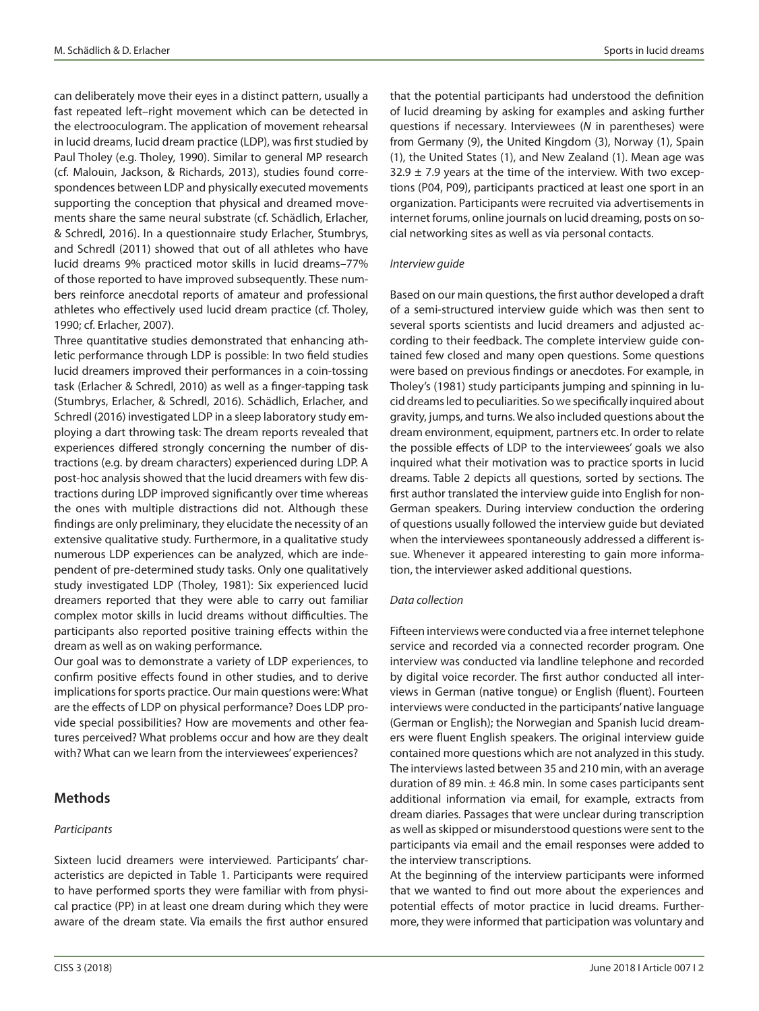can deliberately move their eyes in a distinct pattern, usually a fast repeated left–right movement which can be detected in the electrooculogram. The application of movement rehearsal in lucid dreams, lucid dream practice (LDP), was first studied by Paul Tholey (e.g. Tholey, 1990). Similar to general MP research (cf. Malouin, Jackson, & Richards, 2013), studies found correspondences between LDP and physically executed movements supporting the conception that physical and dreamed movements share the same neural substrate (cf. Schädlich, Erlacher, & Schredl, 2016). In a questionnaire study Erlacher, Stumbrys, and Schredl (2011) showed that out of all athletes who have lucid dreams 9% practiced motor skills in lucid dreams–77% of those reported to have improved subsequently. These numbers reinforce anecdotal reports of amateur and professional athletes who effectively used lucid dream practice (cf. Tholey, 1990; cf. Erlacher, 2007).

Three quantitative studies demonstrated that enhancing athletic performance through LDP is possible: In two field studies lucid dreamers improved their performances in a coin-tossing task (Erlacher & Schredl, 2010) as well as a finger-tapping task (Stumbrys, Erlacher, & Schredl, 2016). Schädlich, Erlacher, and Schredl (2016) investigated LDP in a sleep laboratory study employing a dart throwing task: The dream reports revealed that experiences differed strongly concerning the number of distractions (e.g. by dream characters) experienced during LDP. A post-hoc analysis showed that the lucid dreamers with few distractions during LDP improved significantly over time whereas the ones with multiple distractions did not. Although these findings are only preliminary, they elucidate the necessity of an extensive qualitative study. Furthermore, in a qualitative study numerous LDP experiences can be analyzed, which are independent of pre-determined study tasks. Only one qualitatively study investigated LDP (Tholey, 1981): Six experienced lucid dreamers reported that they were able to carry out familiar complex motor skills in lucid dreams without difficulties. The participants also reported positive training effects within the dream as well as on waking performance.

Our goal was to demonstrate a variety of LDP experiences, to confirm positive effects found in other studies, and to derive implications for sports practice. Our main questions were: What are the effects of LDP on physical performance? Does LDP provide special possibilities? How are movements and other features perceived? What problems occur and how are they dealt with? What can we learn from the interviewees' experiences?

# **Methods**

#### *Participants*

Sixteen lucid dreamers were interviewed. Participants' characteristics are depicted in Table 1. Participants were required to have performed sports they were familiar with from physical practice (PP) in at least one dream during which they were aware of the dream state. Via emails the first author ensured that the potential participants had understood the definition of lucid dreaming by asking for examples and asking further questions if necessary. Interviewees (*N* in parentheses) were from Germany (9), the United Kingdom (3), Norway (1), Spain (1), the United States (1), and New Zealand (1). Mean age was  $32.9 \pm 7.9$  years at the time of the interview. With two exceptions (P04, P09), participants practiced at least one sport in an organization. Participants were recruited via advertisements in internet forums, online journals on lucid dreaming, posts on social networking sites as well as via personal contacts.

#### *Interview guide*

Based on our main questions, the first author developed a draft of a semi-structured interview guide which was then sent to several sports scientists and lucid dreamers and adjusted according to their feedback. The complete interview guide contained few closed and many open questions. Some questions were based on previous findings or anecdotes. For example, in Tholey's (1981) study participants jumping and spinning in lucid dreams led to peculiarities. So we specifically inquired about gravity, jumps, and turns. We also included questions about the dream environment, equipment, partners etc. In order to relate the possible effects of LDP to the interviewees' goals we also inquired what their motivation was to practice sports in lucid dreams. Table 2 depicts all questions, sorted by sections. The first author translated the interview guide into English for non-German speakers. During interview conduction the ordering of questions usually followed the interview guide but deviated when the interviewees spontaneously addressed a different issue. Whenever it appeared interesting to gain more information, the interviewer asked additional questions.

#### *Data collection*

Fifteen interviews were conducted via a free internet telephone service and recorded via a connected recorder program*.* One interview was conducted via landline telephone and recorded by digital voice recorder. The first author conducted all interviews in German (native tongue) or English (fluent). Fourteen interviews were conducted in the participants' native language (German or English); the Norwegian and Spanish lucid dreamers were fluent English speakers. The original interview guide contained more questions which are not analyzed in this study. The interviews lasted between 35 and 210 min, with an average duration of 89 min.  $\pm$  46.8 min. In some cases participants sent additional information via email, for example, extracts from dream diaries. Passages that were unclear during transcription as well as skipped or misunderstood questions were sent to the participants via email and the email responses were added to the interview transcriptions.

At the beginning of the interview participants were informed that we wanted to find out more about the experiences and potential effects of motor practice in lucid dreams. Furthermore, they were informed that participation was voluntary and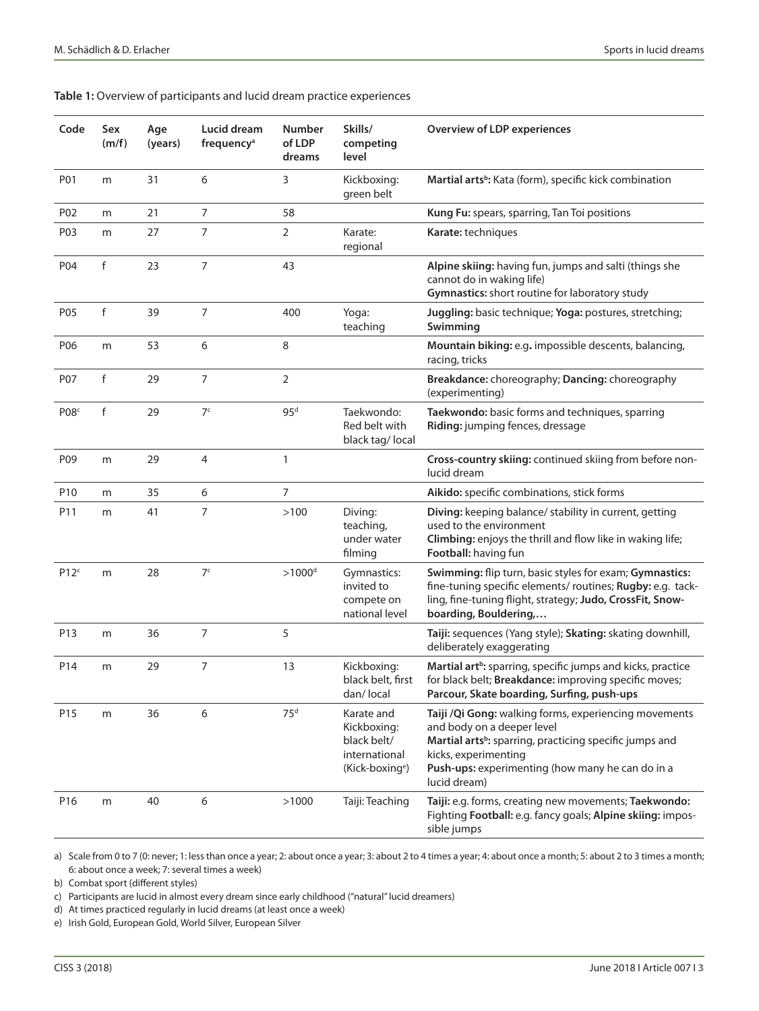|  |  |  | Table 1: Overview of participants and lucid dream practice experiences |
|--|--|--|------------------------------------------------------------------------|
|--|--|--|------------------------------------------------------------------------|

| Code              | Sex<br>(m/f) | Age<br>(years) | Lucid dream<br>frequency <sup>a</sup> | <b>Number</b><br>of LDP<br>dreams | Skills/<br>competing<br>level                                                            | <b>Overview of LDP experiences</b>                                                                                                                                                                                                                     |
|-------------------|--------------|----------------|---------------------------------------|-----------------------------------|------------------------------------------------------------------------------------------|--------------------------------------------------------------------------------------------------------------------------------------------------------------------------------------------------------------------------------------------------------|
| P01               | m            | 31             | 6                                     | 3                                 | Kickboxing:<br>green belt                                                                | Martial arts <sup>b</sup> : Kata (form), specific kick combination                                                                                                                                                                                     |
| P02               | m            | 21             | $\overline{7}$                        | 58                                |                                                                                          | Kung Fu: spears, sparring, Tan Toi positions                                                                                                                                                                                                           |
| P03               | m            | 27             | $\overline{7}$                        | 2                                 | Karate:<br>regional                                                                      | Karate: techniques                                                                                                                                                                                                                                     |
| P04               | f            | 23             | $\overline{7}$                        | 43                                |                                                                                          | Alpine skiing: having fun, jumps and salti (things she<br>cannot do in waking life)<br>Gymnastics: short routine for laboratory study                                                                                                                  |
| P05               | f            | 39             | $\overline{7}$                        | 400                               | Yoga:<br>teaching                                                                        | Juggling: basic technique; Yoga: postures, stretching;<br>Swimming                                                                                                                                                                                     |
| P06               | m            | 53             | 6                                     | 8                                 |                                                                                          | Mountain biking: e.g. impossible descents, balancing,<br>racing, tricks                                                                                                                                                                                |
| P07               | f            | 29             | $\overline{7}$                        | $\overline{2}$                    |                                                                                          | Breakdance: choreography; Dancing: choreography<br>(experimenting)                                                                                                                                                                                     |
| P <sub>08</sub> c | f            | 29             | 7 <sup>c</sup>                        | 95 <sup>d</sup>                   | Taekwondo:<br>Red belt with<br>black tag/local                                           | Taekwondo: basic forms and techniques, sparring<br>Riding: jumping fences, dressage                                                                                                                                                                    |
| P09               | m            | 29             | $\overline{4}$                        | 1                                 |                                                                                          | Cross-country skiing: continued skiing from before non-<br>lucid dream                                                                                                                                                                                 |
| P <sub>10</sub>   | m            | 35             | 6                                     | 7                                 |                                                                                          | Aikido: specific combinations, stick forms                                                                                                                                                                                                             |
| P11               | m            | 41             | 7                                     | >100                              | Diving:<br>teaching,<br>under water<br>filming                                           | Diving: keeping balance/ stability in current, getting<br>used to the environment<br>Climbing: enjoys the thrill and flow like in waking life;<br>Football: having fun                                                                                 |
| P12 <sup>c</sup>  | m            | 28             | 7 <sup>c</sup>                        | $>1000d$                          | Gymnastics:<br>invited to<br>compete on<br>national level                                | Swimming: flip turn, basic styles for exam; Gymnastics:<br>fine-tuning specific elements/ routines; Rugby: e.g. tack-<br>ling, fine-tuning flight, strategy; Judo, CrossFit, Snow-<br>boarding, Bouldering,                                            |
| P13               | m            | 36             | $\overline{7}$                        | 5                                 |                                                                                          | Taiji: sequences (Yang style); Skating: skating downhill,<br>deliberately exaggerating                                                                                                                                                                 |
| P14               | m            | 29             | 7                                     | 13                                | Kickboxing:<br>black belt, first<br>dan/local                                            | Martial art <sup>b</sup> : sparring, specific jumps and kicks, practice<br>for black belt; Breakdance: improving specific moves;<br>Parcour, Skate boarding, Surfing, push-ups                                                                         |
| P <sub>15</sub>   | m            | 36             | 6                                     | 75 <sup>d</sup>                   | Karate and<br>Kickboxing:<br>black belt/<br>international<br>(Kick-boxing <sup>e</sup> ) | Taiji /Qi Gong: walking forms, experiencing movements<br>and body on a deeper level<br>Martial arts <sup>b</sup> : sparring, practicing specific jumps and<br>kicks, experimenting<br>Push-ups: experimenting (how many he can do in a<br>lucid dream) |
| P <sub>16</sub>   | m            | 40             | 6                                     | >1000                             | Taiji: Teaching                                                                          | Taiji: e.g. forms, creating new movements; Taekwondo:<br>Fighting Football: e.g. fancy goals; Alpine skiing: impos-<br>sible jumps                                                                                                                     |

a) Scale from 0 to 7 (0: never; 1: less than once a year; 2: about once a year; 3: about 2 to 4 times a year; 4: about once a month; 5: about 2 to 3 times a month; 6: about once a week; 7: several times a week)

b) Combat sport (different styles)

c) Participants are lucid in almost every dream since early childhood ("natural" lucid dreamers)

d) At times practiced regularly in lucid dreams (at least once a week)

e) Irish Gold, European Gold, World Silver, European Silver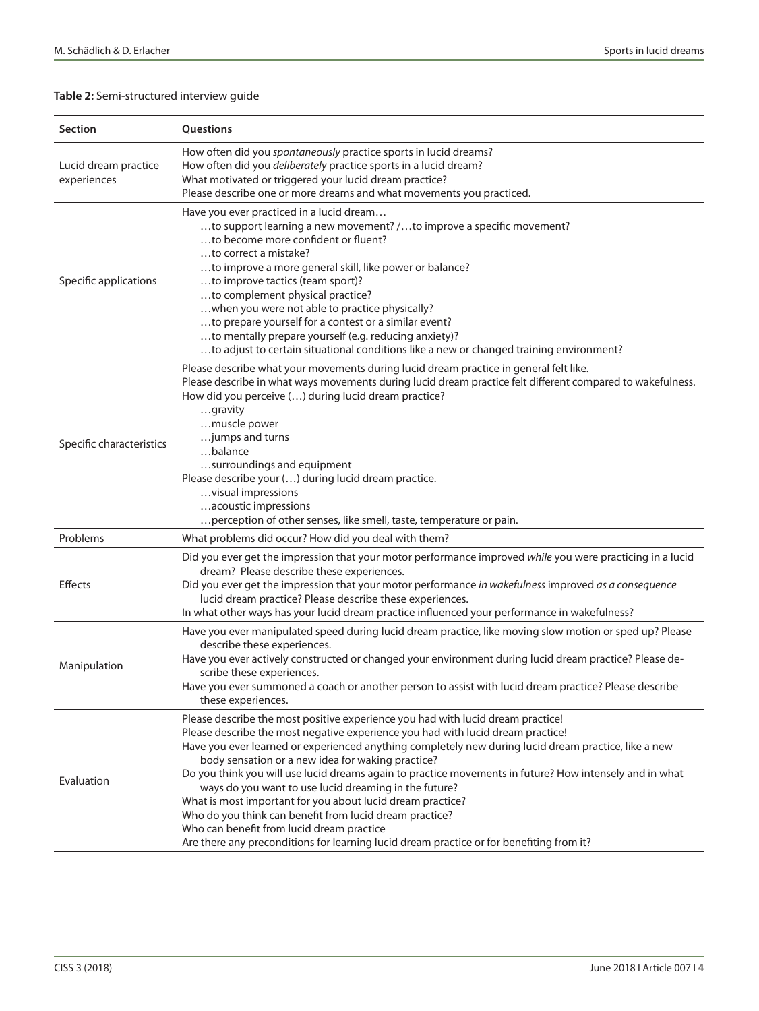## **Table 2:** Semi-structured interview guide

| <b>Section</b>                      | Questions                                                                                                                                                                                                                                                                                                                                                                                                                                                                                                                                                                                                                                                                                                                                                             |
|-------------------------------------|-----------------------------------------------------------------------------------------------------------------------------------------------------------------------------------------------------------------------------------------------------------------------------------------------------------------------------------------------------------------------------------------------------------------------------------------------------------------------------------------------------------------------------------------------------------------------------------------------------------------------------------------------------------------------------------------------------------------------------------------------------------------------|
| Lucid dream practice<br>experiences | How often did you spontaneously practice sports in lucid dreams?<br>How often did you <i>deliberately</i> practice sports in a lucid dream?<br>What motivated or triggered your lucid dream practice?<br>Please describe one or more dreams and what movements you practiced.                                                                                                                                                                                                                                                                                                                                                                                                                                                                                         |
| Specific applications               | Have you ever practiced in a lucid dream<br>to support learning a new movement? /to improve a specific movement?<br>to become more confident or fluent?<br>to correct a mistake?<br>to improve a more general skill, like power or balance?<br>to improve tactics (team sport)?<br>to complement physical practice?<br>when you were not able to practice physically?<br>to prepare yourself for a contest or a similar event?<br>to mentally prepare yourself (e.g. reducing anxiety)?<br>to adjust to certain situational conditions like a new or changed training environment?                                                                                                                                                                                    |
| Specific characteristics            | Please describe what your movements during lucid dream practice in general felt like.<br>Please describe in what ways movements during lucid dream practice felt different compared to wakefulness.<br>How did you perceive () during lucid dream practice?<br>gravity<br>muscle power<br>jumps and turns<br>balance<br>surroundings and equipment<br>Please describe your () during lucid dream practice.<br>visual impressions<br>acoustic impressions<br>perception of other senses, like smell, taste, temperature or pain.                                                                                                                                                                                                                                       |
| Problems                            | What problems did occur? How did you deal with them?                                                                                                                                                                                                                                                                                                                                                                                                                                                                                                                                                                                                                                                                                                                  |
| Effects                             | Did you ever get the impression that your motor performance improved while you were practicing in a lucid<br>dream? Please describe these experiences.<br>Did you ever get the impression that your motor performance in wakefulness improved as a consequence<br>lucid dream practice? Please describe these experiences.<br>In what other ways has your lucid dream practice influenced your performance in wakefulness?                                                                                                                                                                                                                                                                                                                                            |
| Manipulation                        | Have you ever manipulated speed during lucid dream practice, like moving slow motion or sped up? Please<br>describe these experiences.<br>Have you ever actively constructed or changed your environment during lucid dream practice? Please de-<br>scribe these experiences.<br>Have you ever summoned a coach or another person to assist with lucid dream practice? Please describe<br>these experiences.                                                                                                                                                                                                                                                                                                                                                          |
| Evaluation                          | Please describe the most positive experience you had with lucid dream practice!<br>Please describe the most negative experience you had with lucid dream practice!<br>Have you ever learned or experienced anything completely new during lucid dream practice, like a new<br>body sensation or a new idea for waking practice?<br>Do you think you will use lucid dreams again to practice movements in future? How intensely and in what<br>ways do you want to use lucid dreaming in the future?<br>What is most important for you about lucid dream practice?<br>Who do you think can benefit from lucid dream practice?<br>Who can benefit from lucid dream practice<br>Are there any preconditions for learning lucid dream practice or for benefiting from it? |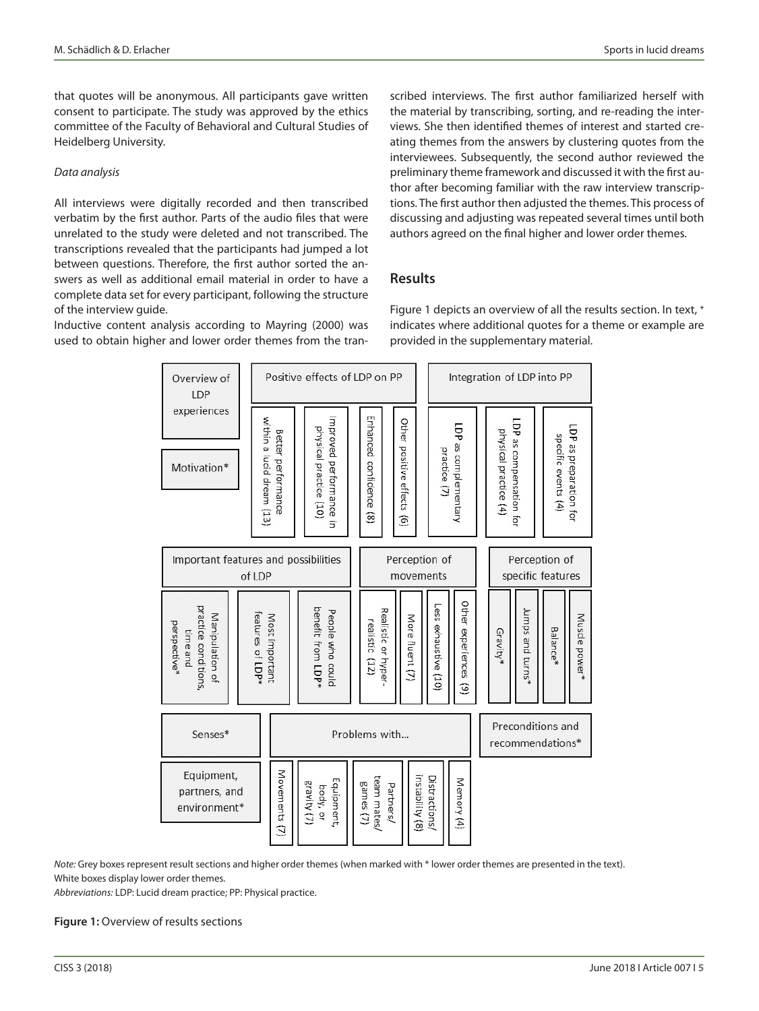that quotes will be anonymous. All participants gave written consent to participate. The study was approved by the ethics committee of the Faculty of Behavioral and Cultural Studies of Heidelberg University.

#### *Data analysis*

All interviews were digitally recorded and then transcribed verbatim by the first author. Parts of the audio files that were unrelated to the study were deleted and not transcribed. The transcriptions revealed that the participants had jumped a lot between questions. Therefore, the first author sorted the answers as well as additional email material in order to have a complete data set for every participant, following the structure of the interview guide.

Inductive content analysis according to Mayring (2000) was used to obtain higher and lower order themes from the transcribed interviews. The first author familiarized herself with the material by transcribing, sorting, and re-reading the interviews. She then identified themes of interest and started creating themes from the answers by clustering quotes from the interviewees. Subsequently, the second author reviewed the preliminary theme framework and discussed it with the first author after becoming familiar with the raw interview transcriptions. The first author then adjusted the themes. This process of discussing and adjusting was repeated several times until both authors agreed on the final higher and lower order themes.

## **Results**

Figure 1 depicts an overview of all the results section. In text, **<sup>+</sup>** indicates where additional quotes for a theme or example are provided in the supplementary material.



*Note:* Grey boxes represent result sections and higher order themes (when marked with \* lower order themes are presented in the text). White boxes display lower order themes.

*Abbreviations:* LDP: Lucid dream practice; PP: Physical practice.

**Figure 1:** Overview of results sections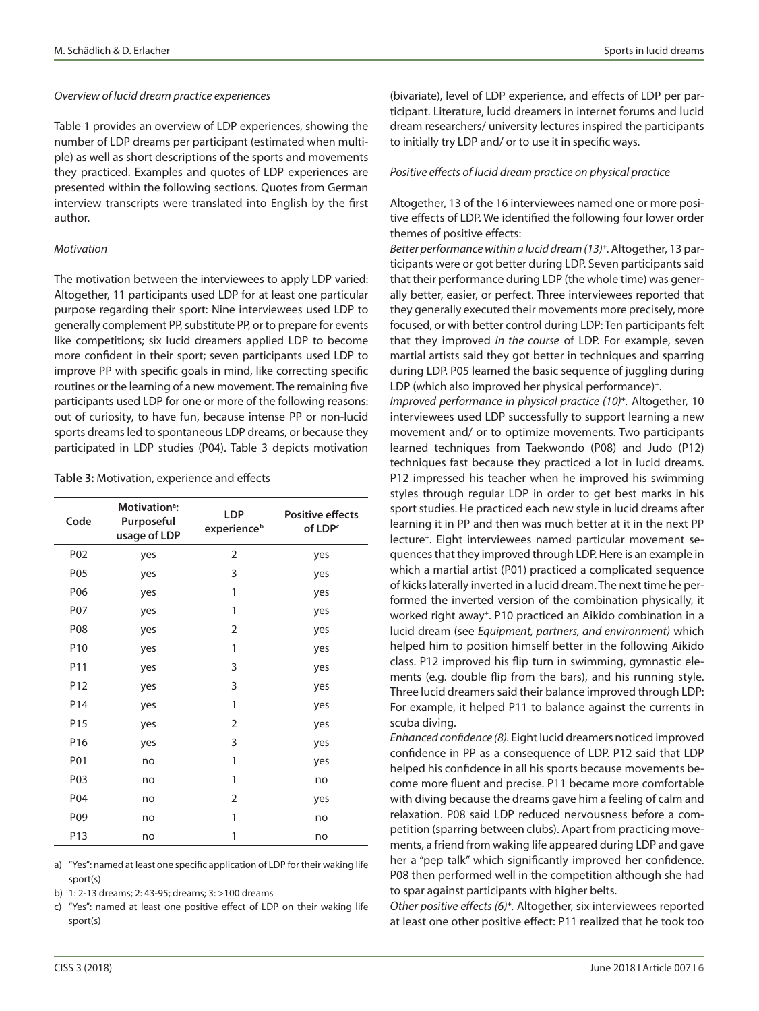#### *Overview of lucid dream practice experiences*

Table 1 provides an overview of LDP experiences, showing the number of LDP dreams per participant (estimated when multiple) as well as short descriptions of the sports and movements they practiced. Examples and quotes of LDP experiences are presented within the following sections. Quotes from German interview transcripts were translated into English by the first author.

#### *Motivation*

The motivation between the interviewees to apply LDP varied: Altogether, 11 participants used LDP for at least one particular purpose regarding their sport: Nine interviewees used LDP to generally complement PP, substitute PP, or to prepare for events like competitions; six lucid dreamers applied LDP to become more confident in their sport; seven participants used LDP to improve PP with specific goals in mind, like correcting specific routines or the learning of a new movement. The remaining five participants used LDP for one or more of the following reasons: out of curiosity, to have fun, because intense PP or non-lucid sports dreams led to spontaneous LDP dreams, or because they participated in LDP studies (P04). Table 3 depicts motivation

#### **Table 3:** Motivation, experience and effects

| Code            | Motivation <sup>a</sup> :<br>Purposeful<br>usage of LDP | LDP<br>experience <sup>b</sup> | <b>Positive effects</b><br>of LDP <sup>c</sup> |
|-----------------|---------------------------------------------------------|--------------------------------|------------------------------------------------|
| P02             | yes                                                     | 2                              | yes                                            |
| P05             | yes                                                     | 3                              | yes                                            |
| P06             | yes                                                     | 1                              | yes                                            |
| P07             | yes                                                     | 1                              | yes                                            |
| P08             | yes                                                     | $\overline{2}$                 | yes                                            |
| P10             | yes                                                     | 1                              | yes                                            |
| P11             | yes                                                     | 3                              | yes                                            |
| P12             | yes                                                     | 3                              | yes                                            |
| P <sub>14</sub> | yes                                                     | 1                              | yes                                            |
| P15             | yes                                                     | 2                              | yes                                            |
| P16             | yes                                                     | 3                              | yes                                            |
| P01             | no                                                      | 1                              | yes                                            |
| P03             | no                                                      | 1                              | no                                             |
| P04             | no                                                      | $\overline{2}$                 | yes                                            |
| P09             | no                                                      | 1                              | no                                             |
| P13             | no                                                      | 1                              | no                                             |

a) "Yes": named at least one specific application of LDP for their waking life sport(s)

b) 1: 2-13 dreams; 2: 43-95; dreams; 3: >100 dreams

c) "Yes": named at least one positive effect of LDP on their waking life sport(s)

(bivariate), level of LDP experience, and effects of LDP per participant. Literature, lucid dreamers in internet forums and lucid dream researchers/ university lectures inspired the participants to initially try LDP and/ or to use it in specific ways.

#### *Positive effects of lucid dream practice on physical practice*

Altogether, 13 of the 16 interviewees named one or more positive effects of LDP. We identified the following four lower order themes of positive effects:

*Better performance within a lucid dream (13)***+***.* Altogether, 13 participants were or got better during LDP. Seven participants said that their performance during LDP (the whole time) was generally better, easier, or perfect. Three interviewees reported that they generally executed their movements more precisely, more focused, or with better control during LDP: Ten participants felt that they improved *in the course* of LDP. For example, seven martial artists said they got better in techniques and sparring during LDP. P05 learned the basic sequence of juggling during LDP (which also improved her physical performance)*<sup>+</sup>*.

*Improved performance in physical practice (10)***<sup>+</sup>***.* Altogether, 10 interviewees used LDP successfully to support learning a new movement and/ or to optimize movements. Two participants learned techniques from Taekwondo (P08) and Judo (P12) techniques fast because they practiced a lot in lucid dreams. P12 impressed his teacher when he improved his swimming styles through regular LDP in order to get best marks in his sport studies. He practiced each new style in lucid dreams after learning it in PP and then was much better at it in the next PP lecture**+**. Eight interviewees named particular movement sequences that they improved through LDP. Here is an example in which a martial artist (P01) practiced a complicated sequence of kicks laterally inverted in a lucid dream. The next time he performed the inverted version of the combination physically, it worked right away**<sup>+</sup>**. P10 practiced an Aikido combination in a lucid dream (see *Equipment, partners, and environment)* which helped him to position himself better in the following Aikido class. P12 improved his flip turn in swimming, gymnastic elements (e.g. double flip from the bars), and his running style. Three lucid dreamers said their balance improved through LDP: For example, it helped P11 to balance against the currents in scuba diving.

*Enhanced confidence (8).* Eight lucid dreamers noticed improved confidence in PP as a consequence of LDP. P12 said that LDP helped his confidence in all his sports because movements become more fluent and precise. P11 became more comfortable with diving because the dreams gave him a feeling of calm and relaxation. P08 said LDP reduced nervousness before a competition (sparring between clubs). Apart from practicing movements, a friend from waking life appeared during LDP and gave her a "pep talk" which significantly improved her confidence. P08 then performed well in the competition although she had to spar against participants with higher belts.

*Other positive effects (6)***<sup>+</sup>***.* Altogether, six interviewees reported at least one other positive effect: P11 realized that he took too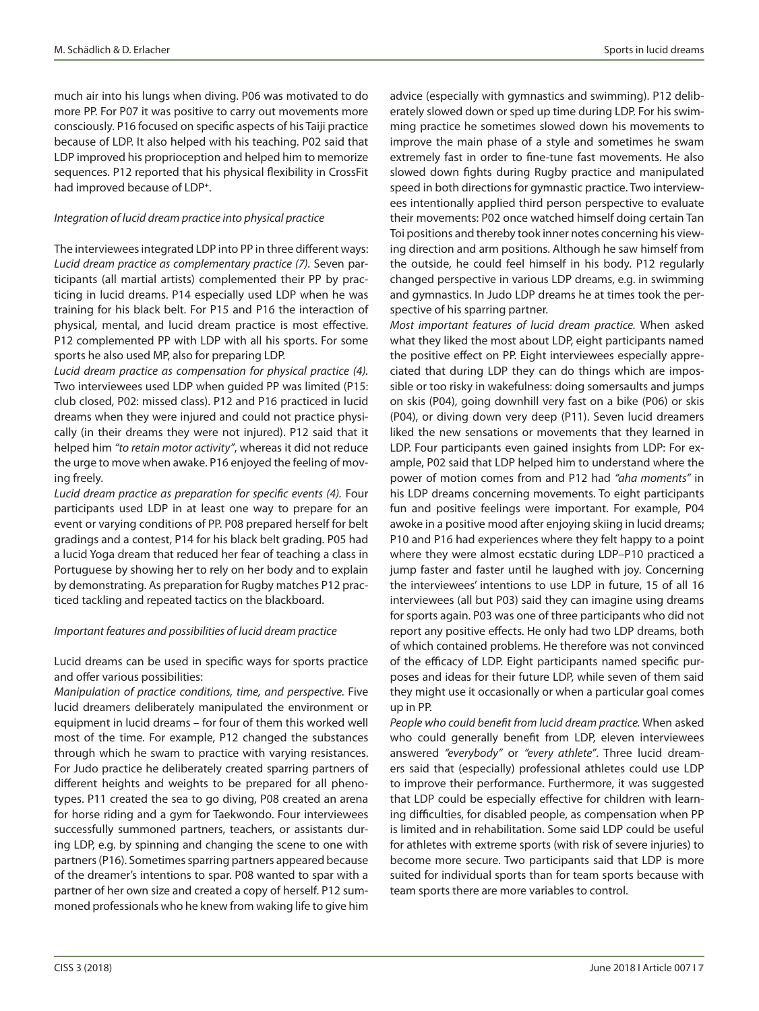much air into his lungs when diving. P06 was motivated to do more PP. For P07 it was positive to carry out movements more consciously. P16 focused on specific aspects of his Taiji practice because of LDP. It also helped with his teaching. P02 said that LDP improved his proprioception and helped him to memorize sequences. P12 reported that his physical flexibility in CrossFit had improved because of LDP**<sup>+</sup>**.

## *Integration of lucid dream practice into physical practice*

The interviewees integrated LDP into PP in three different ways: *Lucid dream practice as complementary practice (7).* Seven participants (all martial artists) complemented their PP by practicing in lucid dreams. P14 especially used LDP when he was training for his black belt. For P15 and P16 the interaction of physical, mental, and lucid dream practice is most effective. P12 complemented PP with LDP with all his sports. For some sports he also used MP, also for preparing LDP.

*Lucid dream practice as compensation for physical practice (4).* Two interviewees used LDP when guided PP was limited (P15: club closed, P02: missed class). P12 and P16 practiced in lucid dreams when they were injured and could not practice physically (in their dreams they were not injured). P12 said that it helped him *"to retain motor activity"*, whereas it did not reduce the urge to move when awake. P16 enjoyed the feeling of moving freely.

*Lucid dream practice as preparation for specific events (4).* Four participants used LDP in at least one way to prepare for an event or varying conditions of PP. P08 prepared herself for belt gradings and a contest, P14 for his black belt grading. P05 had a lucid Yoga dream that reduced her fear of teaching a class in Portuguese by showing her to rely on her body and to explain by demonstrating. As preparation for Rugby matches P12 practiced tackling and repeated tactics on the blackboard.

## *Important features and possibilities of lucid dream practice*

Lucid dreams can be used in specific ways for sports practice and offer various possibilities:

*Manipulation of practice conditions, time, and perspective.* Five lucid dreamers deliberately manipulated the environment or equipment in lucid dreams – for four of them this worked well most of the time. For example, P12 changed the substances through which he swam to practice with varying resistances. For Judo practice he deliberately created sparring partners of different heights and weights to be prepared for all phenotypes. P11 created the sea to go diving, P08 created an arena for horse riding and a gym for Taekwondo. Four interviewees successfully summoned partners, teachers, or assistants during LDP, e.g. by spinning and changing the scene to one with partners (P16). Sometimes sparring partners appeared because of the dreamer's intentions to spar. P08 wanted to spar with a partner of her own size and created a copy of herself. P12 summoned professionals who he knew from waking life to give him

advice (especially with gymnastics and swimming). P12 deliberately slowed down or sped up time during LDP. For his swimming practice he sometimes slowed down his movements to improve the main phase of a style and sometimes he swam extremely fast in order to fine-tune fast movements. He also slowed down fights during Rugby practice and manipulated speed in both directions for gymnastic practice. Two interviewees intentionally applied third person perspective to evaluate their movements: P02 once watched himself doing certain Tan Toi positions and thereby took inner notes concerning his viewing direction and arm positions. Although he saw himself from the outside, he could feel himself in his body. P12 regularly changed perspective in various LDP dreams, e.g. in swimming and gymnastics. In Judo LDP dreams he at times took the perspective of his sparring partner.

*Most important features of lucid dream practice.* When asked what they liked the most about LDP, eight participants named the positive effect on PP. Eight interviewees especially appreciated that during LDP they can do things which are impossible or too risky in wakefulness: doing somersaults and jumps on skis (P04), going downhill very fast on a bike (P06) or skis (P04), or diving down very deep (P11). Seven lucid dreamers liked the new sensations or movements that they learned in LDP. Four participants even gained insights from LDP: For example, P02 said that LDP helped him to understand where the power of motion comes from and P12 had *"aha moments"* in his LDP dreams concerning movements. To eight participants fun and positive feelings were important. For example, P04 awoke in a positive mood after enjoying skiing in lucid dreams; P10 and P16 had experiences where they felt happy to a point where they were almost ecstatic during LDP–P10 practiced a jump faster and faster until he laughed with joy. Concerning the interviewees' intentions to use LDP in future, 15 of all 16 interviewees (all but P03) said they can imagine using dreams for sports again. P03 was one of three participants who did not report any positive effects. He only had two LDP dreams, both of which contained problems. He therefore was not convinced of the efficacy of LDP. Eight participants named specific purposes and ideas for their future LDP, while seven of them said they might use it occasionally or when a particular goal comes up in PP.

*People who could benefit from lucid dream practice.* When asked who could generally benefit from LDP, eleven interviewees answered *"everybody"* or *"every athlete"*. Three lucid dreamers said that (especially) professional athletes could use LDP to improve their performance. Furthermore, it was suggested that LDP could be especially effective for children with learning difficulties, for disabled people, as compensation when PP is limited and in rehabilitation. Some said LDP could be useful for athletes with extreme sports (with risk of severe injuries) to become more secure. Two participants said that LDP is more suited for individual sports than for team sports because with team sports there are more variables to control.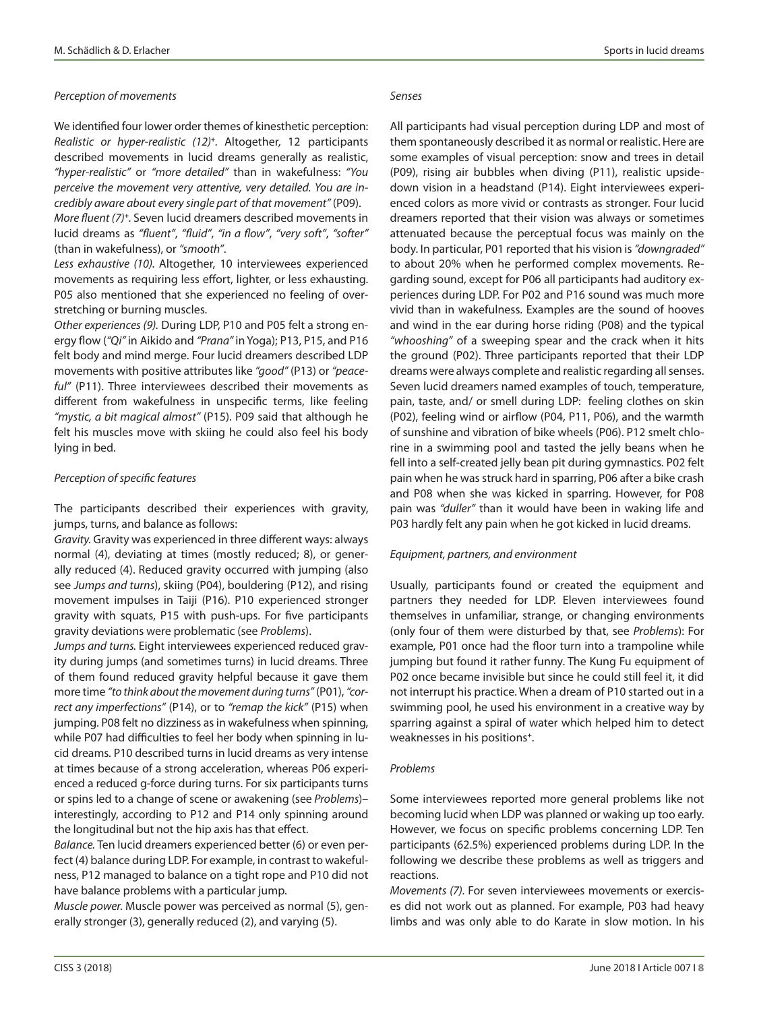We identified four lower order themes of kinesthetic perception: *Realistic or hyper-realistic (12)***<sup>+</sup>***.* Altogether*,* 12 participants described movements in lucid dreams generally as realistic, *"hyper-realistic"* or *"more detailed"* than in wakefulness: *"You perceive the movement very attentive, very detailed. You are incredibly aware about every single part of that movement"* (P09).

*More fluent (7)***<sup>+</sup>***.* Seven lucid dreamers described movements in lucid dreams as *"fluent"*, *"fluid"*, *"in a flow"*, *"very soft"*, *"softer"* (than in wakefulness), or *"smooth"*.

*Less exhaustive (10).* Altogether, 10 interviewees experienced movements as requiring less effort, lighter, or less exhausting. P05 also mentioned that she experienced no feeling of overstretching or burning muscles.

*Other experiences (9).* During LDP, P10 and P05 felt a strong energy flow (*"Qi"* in Aikido and *"Prana"* in Yoga); P13, P15, and P16 felt body and mind merge. Four lucid dreamers described LDP movements with positive attributes like *"good"* (P13) or *"peaceful"* (P11). Three interviewees described their movements as different from wakefulness in unspecific terms, like feeling *"mystic, a bit magical almost"* (P15). P09 said that although he felt his muscles move with skiing he could also feel his body lying in bed.

#### *Perception of specific features*

The participants described their experiences with gravity, jumps, turns, and balance as follows:

*Gravity.* Gravity was experienced in three different ways: always normal (4), deviating at times (mostly reduced; 8), or generally reduced (4). Reduced gravity occurred with jumping (also see *Jumps and turns*), skiing (P04), bouldering (P12), and rising movement impulses in Taiji (P16). P10 experienced stronger gravity with squats, P15 with push-ups. For five participants gravity deviations were problematic (see *Problems*).

*Jumps and turns.* Eight interviewees experienced reduced gravity during jumps (and sometimes turns) in lucid dreams. Three of them found reduced gravity helpful because it gave them more time *"to think about the movement during turns"* (P01), *"correct any imperfections"* (P14), or to *"remap the kick"* (P15) when jumping. P08 felt no dizziness as in wakefulness when spinning, while P07 had difficulties to feel her body when spinning in lucid dreams. P10 described turns in lucid dreams as very intense at times because of a strong acceleration, whereas P06 experienced a reduced g-force during turns. For six participants turns or spins led to a change of scene or awakening (see *Problems*)– interestingly, according to P12 and P14 only spinning around the longitudinal but not the hip axis has that effect.

*Balance.* Ten lucid dreamers experienced better (6) or even perfect (4) balance during LDP. For example, in contrast to wakefulness, P12 managed to balance on a tight rope and P10 did not have balance problems with a particular jump.

*Muscle power.* Muscle power was perceived as normal (5), generally stronger (3), generally reduced (2), and varying (5).

All participants had visual perception during LDP and most of them spontaneously described it as normal or realistic. Here are some examples of visual perception: snow and trees in detail (P09), rising air bubbles when diving (P11), realistic upsidedown vision in a headstand (P14). Eight interviewees experienced colors as more vivid or contrasts as stronger. Four lucid dreamers reported that their vision was always or sometimes attenuated because the perceptual focus was mainly on the body. In particular, P01 reported that his vision is *"downgraded"* to about 20% when he performed complex movements. Regarding sound, except for P06 all participants had auditory experiences during LDP. For P02 and P16 sound was much more vivid than in wakefulness. Examples are the sound of hooves and wind in the ear during horse riding (P08) and the typical *"whooshing"* of a sweeping spear and the crack when it hits the ground (P02). Three participants reported that their LDP dreams were always complete and realistic regarding all senses.

Seven lucid dreamers named examples of touch, temperature, pain, taste, and/ or smell during LDP: feeling clothes on skin (P02), feeling wind or airflow (P04, P11, P06), and the warmth of sunshine and vibration of bike wheels (P06). P12 smelt chlorine in a swimming pool and tasted the jelly beans when he fell into a self-created jelly bean pit during gymnastics. P02 felt pain when he was struck hard in sparring, P06 after a bike crash and P08 when she was kicked in sparring. However, for P08 pain was *"duller"* than it would have been in waking life and P03 hardly felt any pain when he got kicked in lucid dreams.

#### *Equipment, partners, and environment*

Usually, participants found or created the equipment and partners they needed for LDP. Eleven interviewees found themselves in unfamiliar, strange, or changing environments (only four of them were disturbed by that, see *Problems*): For example, P01 once had the floor turn into a trampoline while jumping but found it rather funny. The Kung Fu equipment of P02 once became invisible but since he could still feel it, it did not interrupt his practice. When a dream of P10 started out in a swimming pool, he used his environment in a creative way by sparring against a spiral of water which helped him to detect weaknesses in his positions**<sup>+</sup>**.

#### *Problems*

Some interviewees reported more general problems like not becoming lucid when LDP was planned or waking up too early. However, we focus on specific problems concerning LDP. Ten participants (62.5%) experienced problems during LDP. In the following we describe these problems as well as triggers and reactions.

*Movements (7).* For seven interviewees movements or exercises did not work out as planned. For example, P03 had heavy limbs and was only able to do Karate in slow motion. In his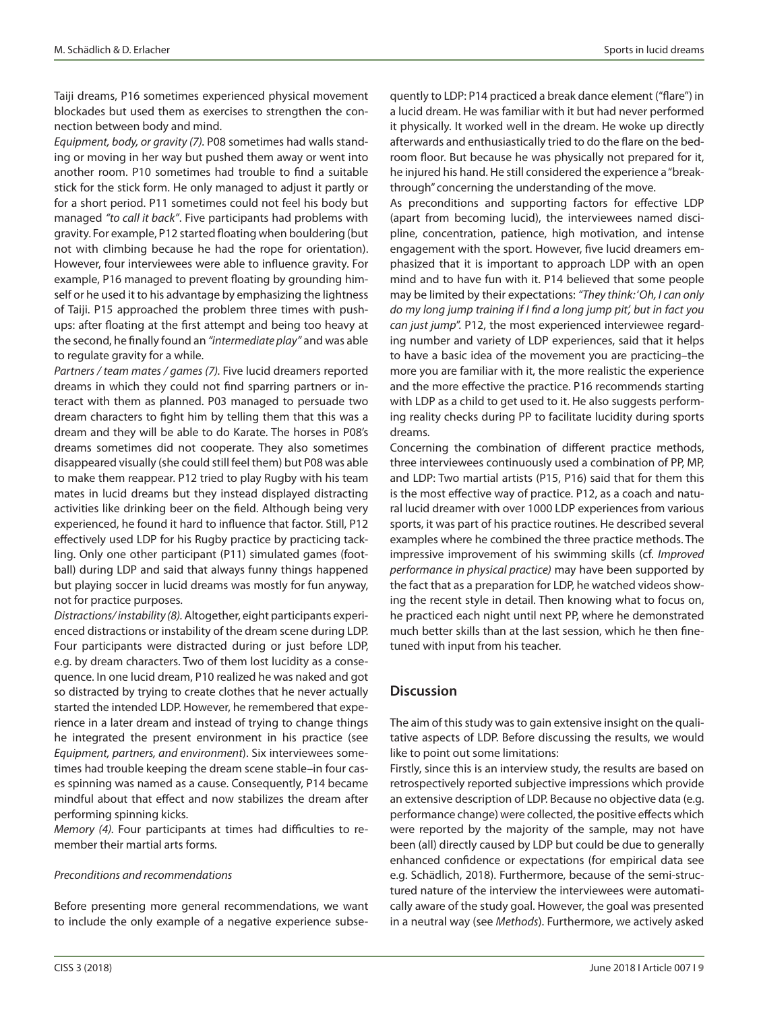Taiji dreams, P16 sometimes experienced physical movement blockades but used them as exercises to strengthen the connection between body and mind.

*Equipment, body, or gravity (7).* P08 sometimes had walls standing or moving in her way but pushed them away or went into another room. P10 sometimes had trouble to find a suitable stick for the stick form. He only managed to adjust it partly or for a short period. P11 sometimes could not feel his body but managed *"to call it back"*. Five participants had problems with gravity. For example, P12 started floating when bouldering (but not with climbing because he had the rope for orientation). However, four interviewees were able to influence gravity. For example, P16 managed to prevent floating by grounding himself or he used it to his advantage by emphasizing the lightness of Taiji. P15 approached the problem three times with pushups: after floating at the first attempt and being too heavy at the second, he finally found an *"intermediate play"* and was able to regulate gravity for a while.

*Partners / team mates / games (7).* Five lucid dreamers reported dreams in which they could not find sparring partners or interact with them as planned. P03 managed to persuade two dream characters to fight him by telling them that this was a dream and they will be able to do Karate. The horses in P08's dreams sometimes did not cooperate. They also sometimes disappeared visually (she could still feel them) but P08 was able to make them reappear. P12 tried to play Rugby with his team mates in lucid dreams but they instead displayed distracting activities like drinking beer on the field. Although being very experienced, he found it hard to influence that factor. Still, P12 effectively used LDP for his Rugby practice by practicing tackling. Only one other participant (P11) simulated games (football) during LDP and said that always funny things happened but playing soccer in lucid dreams was mostly for fun anyway, not for practice purposes.

*Distractions/ instability (8).* Altogether, eight participants experienced distractions or instability of the dream scene during LDP. Four participants were distracted during or just before LDP, e.g. by dream characters. Two of them lost lucidity as a consequence. In one lucid dream, P10 realized he was naked and got so distracted by trying to create clothes that he never actually started the intended LDP. However, he remembered that experience in a later dream and instead of trying to change things he integrated the present environment in his practice (see *Equipment, partners, and environment*). Six interviewees sometimes had trouble keeping the dream scene stable–in four cases spinning was named as a cause. Consequently, P14 became mindful about that effect and now stabilizes the dream after performing spinning kicks.

*Memory (4).* Four participants at times had difficulties to remember their martial arts forms.

#### *Preconditions and recommendations*

Before presenting more general recommendations, we want to include the only example of a negative experience subsequently to LDP: P14 practiced a break dance element ("flare") in a lucid dream. He was familiar with it but had never performed it physically. It worked well in the dream. He woke up directly afterwards and enthusiastically tried to do the flare on the bedroom floor. But because he was physically not prepared for it, he injured his hand. He still considered the experience a "breakthrough" concerning the understanding of the move.

As preconditions and supporting factors for effective LDP (apart from becoming lucid), the interviewees named discipline, concentration, patience, high motivation, and intense engagement with the sport. However, five lucid dreamers emphasized that it is important to approach LDP with an open mind and to have fun with it. P14 believed that some people may be limited by their expectations: *"They think:* '*Oh, I can only do my long jump training if I find a long jump pit', but in fact you can just jump*". P12, the most experienced interviewee regarding number and variety of LDP experiences, said that it helps to have a basic idea of the movement you are practicing–the more you are familiar with it, the more realistic the experience and the more effective the practice. P16 recommends starting with LDP as a child to get used to it. He also suggests performing reality checks during PP to facilitate lucidity during sports dreams.

Concerning the combination of different practice methods, three interviewees continuously used a combination of PP, MP, and LDP: Two martial artists (P15, P16) said that for them this is the most effective way of practice. P12, as a coach and natural lucid dreamer with over 1000 LDP experiences from various sports, it was part of his practice routines. He described several examples where he combined the three practice methods. The impressive improvement of his swimming skills (cf. *Improved performance in physical practice)* may have been supported by the fact that as a preparation for LDP, he watched videos showing the recent style in detail. Then knowing what to focus on, he practiced each night until next PP, where he demonstrated much better skills than at the last session, which he then finetuned with input from his teacher.

## **Discussion**

The aim of this study was to gain extensive insight on the qualitative aspects of LDP. Before discussing the results, we would like to point out some limitations:

Firstly, since this is an interview study, the results are based on retrospectively reported subjective impressions which provide an extensive description of LDP. Because no objective data (e.g. performance change) were collected, the positive effects which were reported by the majority of the sample, may not have been (all) directly caused by LDP but could be due to generally enhanced confidence or expectations (for empirical data see e.g. Schädlich, 2018). Furthermore, because of the semi-structured nature of the interview the interviewees were automatically aware of the study goal. However, the goal was presented in a neutral way (see *Methods*). Furthermore, we actively asked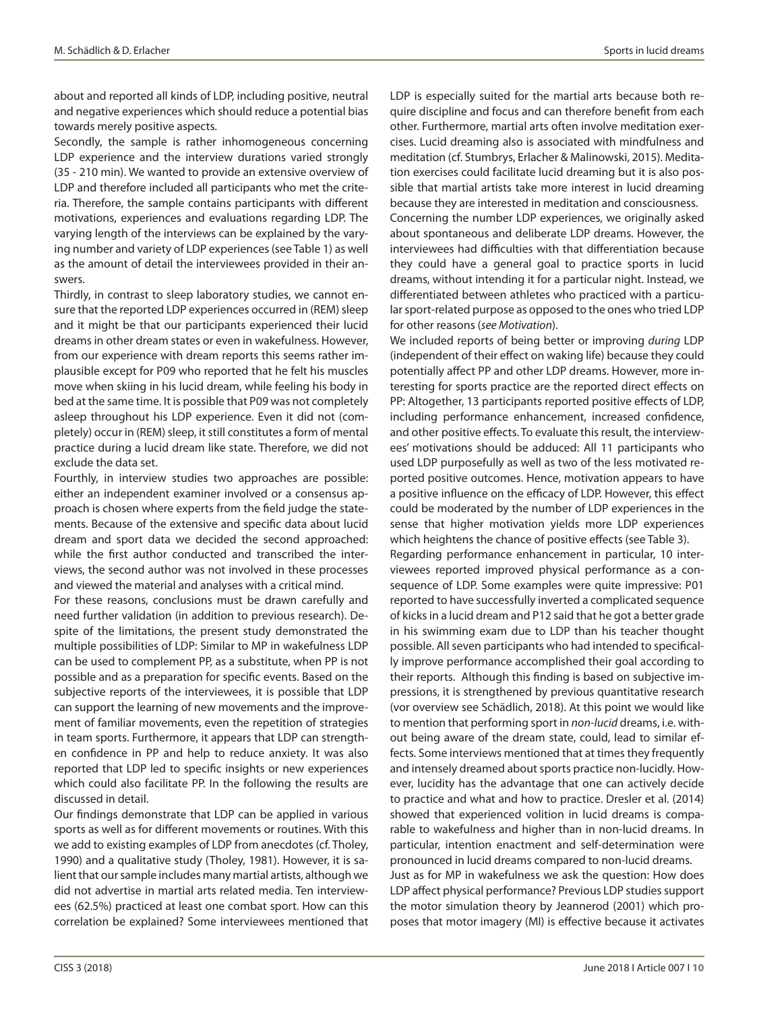about and reported all kinds of LDP, including positive, neutral and negative experiences which should reduce a potential bias towards merely positive aspects.

Secondly, the sample is rather inhomogeneous concerning LDP experience and the interview durations varied strongly (35 - 210 min). We wanted to provide an extensive overview of LDP and therefore included all participants who met the criteria. Therefore, the sample contains participants with different motivations, experiences and evaluations regarding LDP. The varying length of the interviews can be explained by the varying number and variety of LDP experiences (see Table 1) as well as the amount of detail the interviewees provided in their answers.

Thirdly, in contrast to sleep laboratory studies, we cannot ensure that the reported LDP experiences occurred in (REM) sleep and it might be that our participants experienced their lucid dreams in other dream states or even in wakefulness. However, from our experience with dream reports this seems rather implausible except for P09 who reported that he felt his muscles move when skiing in his lucid dream, while feeling his body in bed at the same time. It is possible that P09 was not completely asleep throughout his LDP experience. Even it did not (completely) occur in (REM) sleep, it still constitutes a form of mental practice during a lucid dream like state. Therefore, we did not exclude the data set.

Fourthly, in interview studies two approaches are possible: either an independent examiner involved or a consensus approach is chosen where experts from the field judge the statements. Because of the extensive and specific data about lucid dream and sport data we decided the second approached: while the first author conducted and transcribed the interviews, the second author was not involved in these processes and viewed the material and analyses with a critical mind.

For these reasons, conclusions must be drawn carefully and need further validation (in addition to previous research). Despite of the limitations, the present study demonstrated the multiple possibilities of LDP: Similar to MP in wakefulness LDP can be used to complement PP, as a substitute, when PP is not possible and as a preparation for specific events. Based on the subjective reports of the interviewees, it is possible that LDP can support the learning of new movements and the improvement of familiar movements, even the repetition of strategies in team sports. Furthermore, it appears that LDP can strengthen confidence in PP and help to reduce anxiety. It was also reported that LDP led to specific insights or new experiences which could also facilitate PP. In the following the results are discussed in detail.

Our findings demonstrate that LDP can be applied in various sports as well as for different movements or routines. With this we add to existing examples of LDP from anecdotes (cf. Tholey, 1990) and a qualitative study (Tholey, 1981). However, it is salient that our sample includes many martial artists, although we did not advertise in martial arts related media. Ten interviewees (62.5%) practiced at least one combat sport. How can this correlation be explained? Some interviewees mentioned that LDP is especially suited for the martial arts because both require discipline and focus and can therefore benefit from each other. Furthermore, martial arts often involve meditation exercises. Lucid dreaming also is associated with mindfulness and meditation (cf. Stumbrys, Erlacher & Malinowski, 2015). Meditation exercises could facilitate lucid dreaming but it is also possible that martial artists take more interest in lucid dreaming because they are interested in meditation and consciousness. Concerning the number LDP experiences, we originally asked about spontaneous and deliberate LDP dreams. However, the interviewees had difficulties with that differentiation because they could have a general goal to practice sports in lucid dreams, without intending it for a particular night. Instead, we differentiated between athletes who practiced with a particular sport-related purpose as opposed to the ones who tried LDP for other reasons (*see Motivation*).

We included reports of being better or improving *during* LDP (independent of their effect on waking life) because they could potentially affect PP and other LDP dreams. However, more interesting for sports practice are the reported direct effects on PP: Altogether, 13 participants reported positive effects of LDP, including performance enhancement, increased confidence, and other positive effects. To evaluate this result, the interviewees' motivations should be adduced: All 11 participants who used LDP purposefully as well as two of the less motivated reported positive outcomes. Hence, motivation appears to have a positive influence on the efficacy of LDP. However, this effect could be moderated by the number of LDP experiences in the sense that higher motivation yields more LDP experiences which heightens the chance of positive effects (see Table 3).

Regarding performance enhancement in particular, 10 interviewees reported improved physical performance as a consequence of LDP. Some examples were quite impressive: P01 reported to have successfully inverted a complicated sequence of kicks in a lucid dream and P12 said that he got a better grade in his swimming exam due to LDP than his teacher thought possible. All seven participants who had intended to specifically improve performance accomplished their goal according to their reports. Although this finding is based on subjective impressions, it is strengthened by previous quantitative research (vor overview see Schädlich, 2018). At this point we would like to mention that performing sport in *non-lucid* dreams, i.e. without being aware of the dream state, could, lead to similar effects. Some interviews mentioned that at times they frequently and intensely dreamed about sports practice non-lucidly. However, lucidity has the advantage that one can actively decide to practice and what and how to practice. Dresler et al. (2014) showed that experienced volition in lucid dreams is comparable to wakefulness and higher than in non-lucid dreams. In particular, intention enactment and self-determination were pronounced in lucid dreams compared to non-lucid dreams. Just as for MP in wakefulness we ask the question: How does LDP affect physical performance? Previous LDP studies support the motor simulation theory by Jeannerod (2001) which proposes that motor imagery (MI) is effective because it activates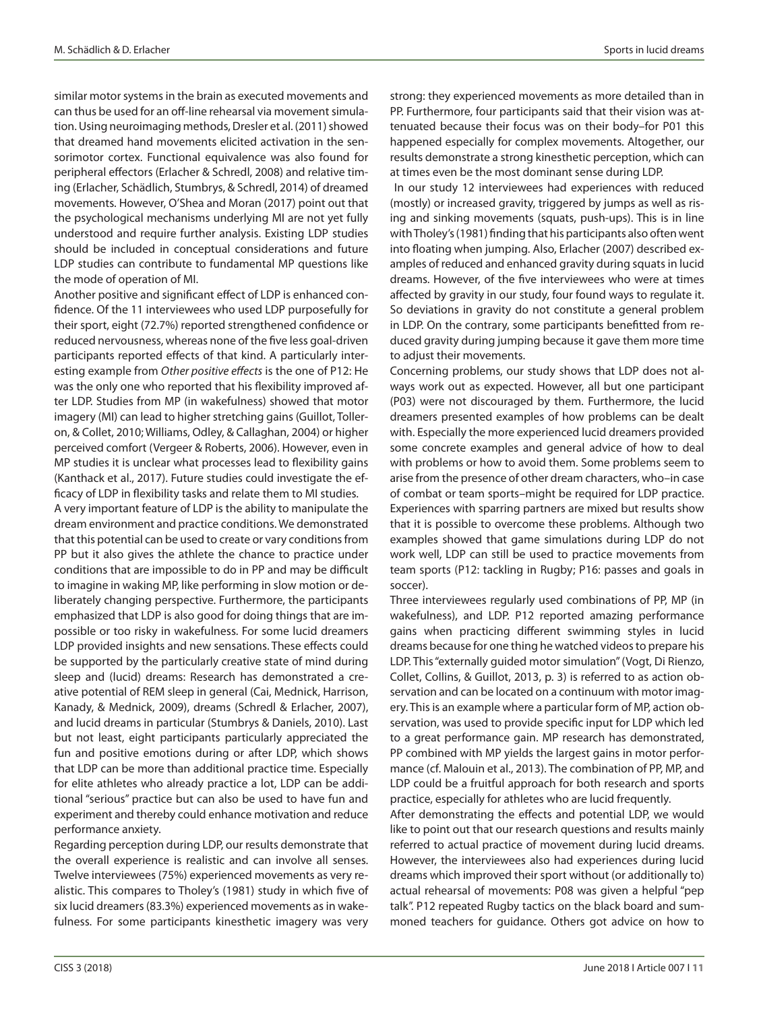similar motor systems in the brain as executed movements and can thus be used for an off-line rehearsal via movement simulation. Using neuroimaging methods, Dresler et al. (2011) showed that dreamed hand movements elicited activation in the sensorimotor cortex. Functional equivalence was also found for peripheral effectors (Erlacher & Schredl, 2008) and relative timing (Erlacher, Schädlich, Stumbrys, & Schredl, 2014) of dreamed movements. However, O'Shea and Moran (2017) point out that the psychological mechanisms underlying MI are not yet fully understood and require further analysis. Existing LDP studies should be included in conceptual considerations and future LDP studies can contribute to fundamental MP questions like the mode of operation of MI.

Another positive and significant effect of LDP is enhanced confidence. Of the 11 interviewees who used LDP purposefully for their sport, eight (72.7%) reported strengthened confidence or reduced nervousness, whereas none of the five less goal-driven participants reported effects of that kind. A particularly interesting example from *Other positive effects* is the one of P12: He was the only one who reported that his flexibility improved after LDP. Studies from MP (in wakefulness) showed that motor imagery (MI) can lead to higher stretching gains (Guillot, Tolleron, & Collet, 2010; Williams, Odley, & Callaghan, 2004) or higher perceived comfort (Vergeer & Roberts, 2006). However, even in MP studies it is unclear what processes lead to flexibility gains (Kanthack et al., 2017). Future studies could investigate the efficacy of LDP in flexibility tasks and relate them to MI studies.

A very important feature of LDP is the ability to manipulate the dream environment and practice conditions. We demonstrated that this potential can be used to create or vary conditions from PP but it also gives the athlete the chance to practice under conditions that are impossible to do in PP and may be difficult to imagine in waking MP, like performing in slow motion or deliberately changing perspective. Furthermore, the participants emphasized that LDP is also good for doing things that are impossible or too risky in wakefulness. For some lucid dreamers LDP provided insights and new sensations. These effects could be supported by the particularly creative state of mind during sleep and (lucid) dreams: Research has demonstrated a creative potential of REM sleep in general (Cai, Mednick, Harrison, Kanady, & Mednick, 2009), dreams (Schredl & Erlacher, 2007), and lucid dreams in particular (Stumbrys & Daniels, 2010). Last but not least, eight participants particularly appreciated the fun and positive emotions during or after LDP, which shows that LDP can be more than additional practice time. Especially for elite athletes who already practice a lot, LDP can be additional "serious" practice but can also be used to have fun and experiment and thereby could enhance motivation and reduce performance anxiety.

Regarding perception during LDP, our results demonstrate that the overall experience is realistic and can involve all senses. Twelve interviewees (75%) experienced movements as very realistic. This compares to Tholey's (1981) study in which five of six lucid dreamers (83.3%) experienced movements as in wakefulness. For some participants kinesthetic imagery was very strong: they experienced movements as more detailed than in PP. Furthermore, four participants said that their vision was attenuated because their focus was on their body–for P01 this happened especially for complex movements. Altogether, our results demonstrate a strong kinesthetic perception, which can at times even be the most dominant sense during LDP.

 In our study 12 interviewees had experiences with reduced (mostly) or increased gravity, triggered by jumps as well as rising and sinking movements (squats, push-ups). This is in line with Tholey's (1981) finding that his participants also often went into floating when jumping. Also, Erlacher (2007) described examples of reduced and enhanced gravity during squats in lucid dreams. However, of the five interviewees who were at times affected by gravity in our study, four found ways to regulate it. So deviations in gravity do not constitute a general problem in LDP. On the contrary, some participants benefitted from reduced gravity during jumping because it gave them more time to adjust their movements.

Concerning problems, our study shows that LDP does not always work out as expected. However, all but one participant (P03) were not discouraged by them. Furthermore, the lucid dreamers presented examples of how problems can be dealt with. Especially the more experienced lucid dreamers provided some concrete examples and general advice of how to deal with problems or how to avoid them. Some problems seem to arise from the presence of other dream characters, who–in case of combat or team sports–might be required for LDP practice. Experiences with sparring partners are mixed but results show that it is possible to overcome these problems. Although two examples showed that game simulations during LDP do not work well, LDP can still be used to practice movements from team sports (P12: tackling in Rugby; P16: passes and goals in soccer).

Three interviewees regularly used combinations of PP, MP (in wakefulness), and LDP. P12 reported amazing performance gains when practicing different swimming styles in lucid dreams because for one thing he watched videos to prepare his LDP. This "externally guided motor simulation" (Vogt, Di Rienzo, Collet, Collins, & Guillot, 2013, p. 3) is referred to as action observation and can be located on a continuum with motor imagery. This is an example where a particular form of MP, action observation, was used to provide specific input for LDP which led to a great performance gain. MP research has demonstrated, PP combined with MP yields the largest gains in motor performance (cf. Malouin et al., 2013). The combination of PP, MP, and LDP could be a fruitful approach for both research and sports practice, especially for athletes who are lucid frequently.

After demonstrating the effects and potential LDP, we would like to point out that our research questions and results mainly referred to actual practice of movement during lucid dreams. However, the interviewees also had experiences during lucid dreams which improved their sport without (or additionally to) actual rehearsal of movements: P08 was given a helpful "pep talk". P12 repeated Rugby tactics on the black board and summoned teachers for guidance. Others got advice on how to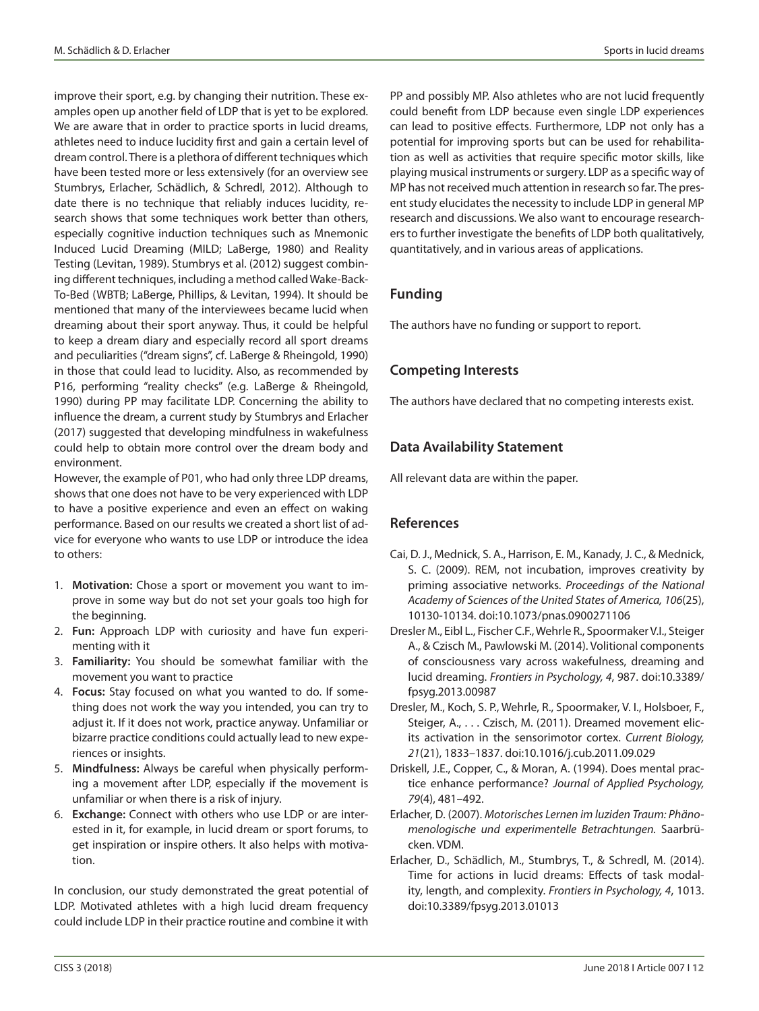improve their sport, e.g. by changing their nutrition. These examples open up another field of LDP that is yet to be explored. We are aware that in order to practice sports in lucid dreams, athletes need to induce lucidity first and gain a certain level of dream control. There is a plethora of different techniques which have been tested more or less extensively (for an overview see Stumbrys, Erlacher, Schädlich, & Schredl, 2012). Although to date there is no technique that reliably induces lucidity, research shows that some techniques work better than others, especially cognitive induction techniques such as Mnemonic Induced Lucid Dreaming (MILD; LaBerge, 1980) and Reality Testing (Levitan, 1989). Stumbrys et al. (2012) suggest combining different techniques, including a method called Wake-Back-To-Bed (WBTB; LaBerge, Phillips, & Levitan, 1994). It should be mentioned that many of the interviewees became lucid when dreaming about their sport anyway. Thus, it could be helpful to keep a dream diary and especially record all sport dreams and peculiarities ("dream signs", cf. LaBerge & Rheingold, 1990) in those that could lead to lucidity. Also, as recommended by P16, performing "reality checks" (e.g. LaBerge & Rheingold, 1990) during PP may facilitate LDP. Concerning the ability to influence the dream, a current study by Stumbrys and Erlacher (2017) suggested that developing mindfulness in wakefulness could help to obtain more control over the dream body and environment.

However, the example of P01, who had only three LDP dreams, shows that one does not have to be very experienced with LDP to have a positive experience and even an effect on waking performance. Based on our results we created a short list of advice for everyone who wants to use LDP or introduce the idea to others:

- 1. **Motivation:** Chose a sport or movement you want to improve in some way but do not set your goals too high for the beginning.
- 2. **Fun:** Approach LDP with curiosity and have fun experimenting with it
- 3. **Familiarity:** You should be somewhat familiar with the movement you want to practice
- 4. **Focus:** Stay focused on what you wanted to do. If something does not work the way you intended, you can try to adjust it. If it does not work, practice anyway. Unfamiliar or bizarre practice conditions could actually lead to new experiences or insights.
- 5. **Mindfulness:** Always be careful when physically performing a movement after LDP, especially if the movement is unfamiliar or when there is a risk of injury.
- 6. **Exchange:** Connect with others who use LDP or are interested in it, for example, in lucid dream or sport forums, to get inspiration or inspire others. It also helps with motivation.

In conclusion, our study demonstrated the great potential of LDP. Motivated athletes with a high lucid dream frequency could include LDP in their practice routine and combine it with PP and possibly MP. Also athletes who are not lucid frequently could benefit from LDP because even single LDP experiences can lead to positive effects. Furthermore, LDP not only has a potential for improving sports but can be used for rehabilitation as well as activities that require specific motor skills, like playing musical instruments or surgery. LDP as a specific way of MP has not received much attention in research so far. The present study elucidates the necessity to include LDP in general MP research and discussions. We also want to encourage researchers to further investigate the benefits of LDP both qualitatively, quantitatively, and in various areas of applications.

# **Funding**

The authors have no funding or support to report.

# **Competing Interests**

The authors have declared that no competing interests exist.

# **Data Availability Statement**

All relevant data are within the paper.

# **References**

- Cai, D. J., Mednick, S. A., Harrison, E. M., Kanady, J. C., & Mednick, S. C. (2009). REM, not incubation, improves creativity by priming associative networks. *Proceedings of the National Academy of Sciences of the United States of America, 106*(25), 10130-10134. doi:10.1073/pnas.0900271106
- Dresler M., Eibl L., Fischer C.F., Wehrle R., Spoormaker V.I., Steiger A., & Czisch M., Pawlowski M. (2014). Volitional components of consciousness vary across wakefulness, dreaming and lucid dreaming. *Frontiers in Psychology, 4*, 987. doi:10.3389/ fpsyg.2013.00987
- Dresler, M., Koch, S. P., Wehrle, R., Spoormaker, V. I., Holsboer, F., Steiger, A., . . . Czisch, M. (2011). Dreamed movement elicits activation in the sensorimotor cortex. *Current Biology, 21*(21), 1833–1837. doi:10.1016/j.cub.2011.09.029
- Driskell, J.E., Copper, C., & Moran, A. (1994). Does mental practice enhance performance? *Journal of Applied Psychology, 79*(4), 481–492.
- Erlacher, D. (2007). *Motorisches Lernen im luziden Traum: Phänomenologische und experimentelle Betrachtungen.* Saarbrücken. VDM.
- Erlacher, D., Schädlich, M., Stumbrys, T., & Schredl, M. (2014). Time for actions in lucid dreams: Effects of task modality, length, and complexity. *Frontiers in Psychology, 4*, 1013. doi:10.3389/fpsyg.2013.01013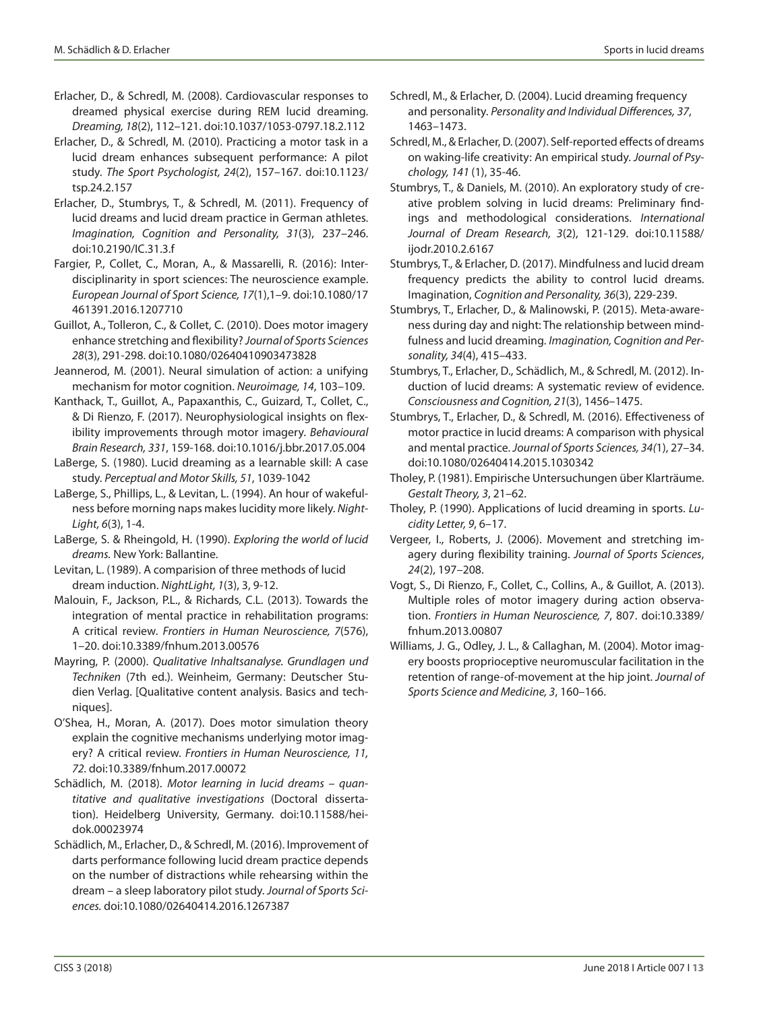- Erlacher, D., & Schredl, M. (2008). Cardiovascular responses to dreamed physical exercise during REM lucid dreaming. *Dreaming, 18*(2), 112–121. doi:10.1037/1053-0797.18.2.112
- Erlacher, D., & Schredl, M. (2010). Practicing a motor task in a lucid dream enhances subsequent performance: A pilot study. *The Sport Psychologist, 24*(2), 157–167. doi:10.1123/ tsp.24.2.157
- Erlacher, D., Stumbrys, T., & Schredl, M. (2011). Frequency of lucid dreams and lucid dream practice in German athletes. *Imagination, Cognition and Personality, 31*(3), 237–246. doi:10.2190/IC.31.3.f
- Fargier, P., Collet, C., Moran, A., & Massarelli, R. (2016): Interdisciplinarity in sport sciences: The neuroscience example. *European Journal of Sport Science, 17*(1),1–9. doi:10.1080/17 461391.2016.1207710
- Guillot, A., Tolleron, C., & Collet, C. (2010). Does motor imagery enhance stretching and flexibility? *Journal of Sports Sciences 28*(3), 291-298. doi:10.1080/02640410903473828
- Jeannerod, M. (2001). Neural simulation of action: a unifying mechanism for motor cognition. *Neuroimage, 14*, 103–109.
- Kanthack, T., Guillot, A., Papaxanthis, C., Guizard, T., Collet, C., & Di Rienzo, F. (2017). Neurophysiological insights on flexibility improvements through motor imagery. *Behavioural Brain Research, 331*, 159-168. doi:10.1016/j.bbr.2017.05.004
- LaBerge, S. (1980). Lucid dreaming as a learnable skill: A case study. *Perceptual and Motor Skills, 51*, 1039-1042
- LaBerge, S., Phillips, L., & Levitan, L. (1994). An hour of wakefulness before morning naps makes lucidity more likely. *Night-Light, 6*(3), 1-4.
- LaBerge, S. & Rheingold, H. (1990). *Exploring the world of lucid dreams.* New York: Ballantine.
- Levitan, L. (1989). A comparision of three methods of lucid dream induction. *NightLight, 1*(3), 3, 9-12.
- Malouin, F., Jackson, P.L., & Richards, C.L. (2013). Towards the integration of mental practice in rehabilitation programs: A critical review. *Frontiers in Human Neuroscience, 7*(576), 1–20. doi:10.3389/fnhum.2013.00576
- Mayring, P. (2000). *Qualitative Inhaltsanalyse. Grundlagen und Techniken* (7th ed.). Weinheim, Germany: Deutscher Studien Verlag. [Qualitative content analysis. Basics and techniques].
- O'Shea, H., Moran, A. (2017). Does motor simulation theory explain the cognitive mechanisms underlying motor imagery? A critical review. *Frontiers in Human Neuroscience, 11, 72.* doi:10.3389/fnhum.2017.00072
- Schädlich, M. (2018). *Motor learning in lucid dreams quantitative and qualitative investigations* (Doctoral dissertation). Heidelberg University, Germany. doi:10.11588/heidok.00023974
- Schädlich, M., Erlacher, D., & Schredl, M. (2016). Improvement of darts performance following lucid dream practice depends on the number of distractions while rehearsing within the dream – a sleep laboratory pilot study. *Journal of Sports Sciences.* doi:10.1080/02640414.2016.1267387
- Schredl, M., & Erlacher, D. (2004). Lucid dreaming frequency and personality. *Personality and Individual Differences, 37*, 1463–1473.
- Schredl, M., & Erlacher, D. (2007). Self-reported effects of dreams on waking-life creativity: An empirical study. *Journal of Psychology, 141* (1), 35-46.
- Stumbrys, T., & Daniels, M. (2010). An exploratory study of creative problem solving in lucid dreams: Preliminary findings and methodological considerations. *International Journal of Dream Research, 3*(2), 121-129. doi:10.11588/ ijodr.2010.2.6167
- Stumbrys, T., & Erlacher, D. (2017). Mindfulness and lucid dream frequency predicts the ability to control lucid dreams. Imagination, *Cognition and Personality, 36*(3), 229-239.
- Stumbrys, T., Erlacher, D., & Malinowski, P. (2015). Meta-awareness during day and night: The relationship between mindfulness and lucid dreaming. *Imagination, Cognition and Personality, 34*(4), 415–433.
- Stumbrys, T., Erlacher, D., Schädlich, M., & Schredl, M. (2012). Induction of lucid dreams: A systematic review of evidence. *Consciousness and Cognition, 21*(3), 1456–1475.
- Stumbrys, T., Erlacher, D., & Schredl, M. (2016). Effectiveness of motor practice in lucid dreams: A comparison with physical and mental practice. *Journal of Sports Sciences, 34(*1), 27–34. doi:10.1080/02640414.2015.1030342
- Tholey, P. (1981). Empirische Untersuchungen über Klarträume. *Gestalt Theory, 3*, 21–62.
- Tholey, P. (1990). Applications of lucid dreaming in sports. *Lucidity Letter, 9*, 6–17.
- Vergeer, I., Roberts, J. (2006). Movement and stretching imagery during flexibility training. *Journal of Sports Sciences*, *24*(2), 197–208.
- Vogt, S., Di Rienzo, F., Collet, C., Collins, A., & Guillot, A. (2013). Multiple roles of motor imagery during action observation. *Frontiers in Human Neuroscience, 7*, 807. doi:10.3389/ fnhum.2013.00807
- Williams, J. G., Odley, J. L., & Callaghan, M. (2004). Motor imagery boosts proprioceptive neuromuscular facilitation in the retention of range-of-movement at the hip joint. *Journal of Sports Science and Medicine, 3*, 160–166.